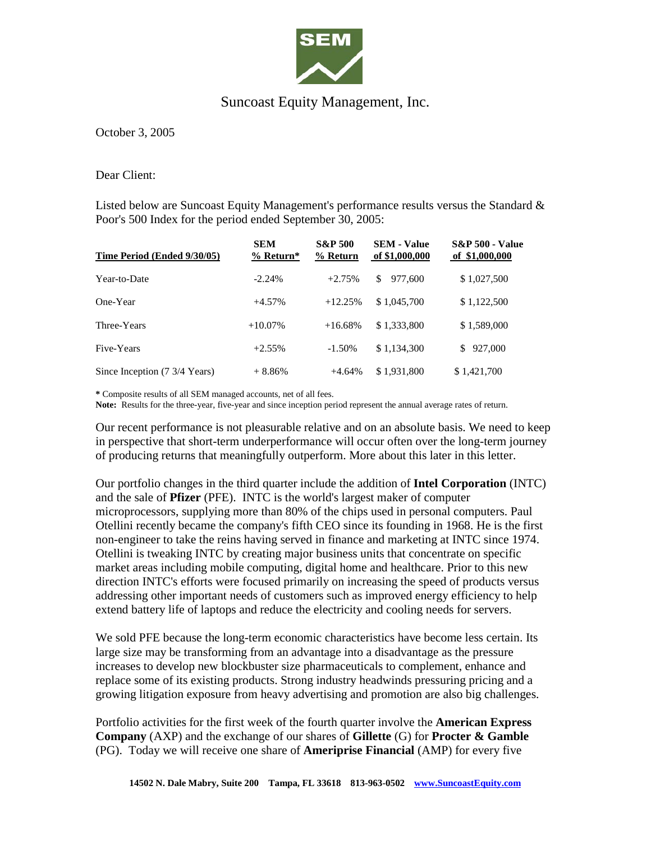

## Suncoast Equity Management, Inc.

October 3, 2005

Dear Client:

Listed below are Suncoast Equity Management's performance results versus the Standard & Poor's 500 Index for the period ended September 30, 2005:

| Time Period (Ended 9/30/05)   | <b>SEM</b><br>$%$ Return* | <b>S&amp;P 500</b><br>% Return | <b>SEM - Value</b><br>of \$1,000,000 | <b>S&amp;P 500 - Value</b><br>of \$1,000,000 |
|-------------------------------|---------------------------|--------------------------------|--------------------------------------|----------------------------------------------|
| Year-to-Date                  | $-2.24%$                  | $+2.75%$                       | \$.<br>977.600                       | \$1,027,500                                  |
| One-Year                      | $+4.57%$                  | $+12.25%$                      | \$1,045,700                          | \$1,122,500                                  |
| Three-Years                   | $+10.07\%$                | $+16.68%$                      | \$1,333,800                          | \$1,589,000                                  |
| Five-Years                    | $+2.55%$                  | $-1.50\%$                      | \$1,134,300                          | 927,000<br>\$.                               |
| Since Inception (7 3/4 Years) | $+8.86%$                  | $+4.64%$                       | \$1.931.800                          | \$1,421,700                                  |

**\*** Composite results of all SEM managed accounts, net of all fees.

**Note:** Results for the three-year, five-year and since inception period represent the annual average rates of return.

Our recent performance is not pleasurable relative and on an absolute basis. We need to keep in perspective that short-term underperformance will occur often over the long-term journey of producing returns that meaningfully outperform. More about this later in this letter.

Our portfolio changes in the third quarter include the addition of **Intel Corporation** (INTC) and the sale of **Pfizer** (PFE). INTC is the world's largest maker of computer microprocessors, supplying more than 80% of the chips used in personal computers. Paul Otellini recently became the company's fifth CEO since its founding in 1968. He is the first non-engineer to take the reins having served in finance and marketing at INTC since 1974. Otellini is tweaking INTC by creating major business units that concentrate on specific market areas including mobile computing, digital home and healthcare. Prior to this new direction INTC's efforts were focused primarily on increasing the speed of products versus addressing other important needs of customers such as improved energy efficiency to help extend battery life of laptops and reduce the electricity and cooling needs for servers.

We sold PFE because the long-term economic characteristics have become less certain. Its large size may be transforming from an advantage into a disadvantage as the pressure increases to develop new blockbuster size pharmaceuticals to complement, enhance and replace some of its existing products. Strong industry headwinds pressuring pricing and a growing litigation exposure from heavy advertising and promotion are also big challenges.

Portfolio activities for the first week of the fourth quarter involve the **American Express Company** (AXP) and the exchange of our shares of **Gillette** (G) for **Procter & Gamble** (PG). Today we will receive one share of **Ameriprise Financial** (AMP) for every five